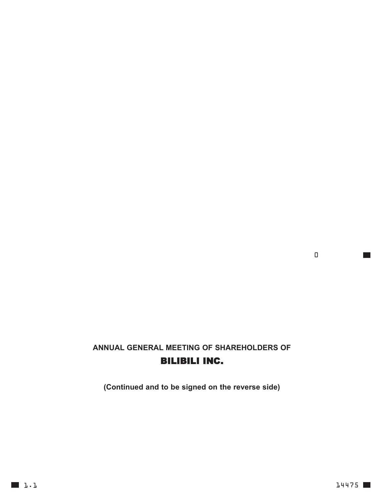## **ANNUAL GENERAL MEETING OF SHAREHOLDERS OF** BILIBILI INC.

**(Continued and to be signed on the reverse side)**